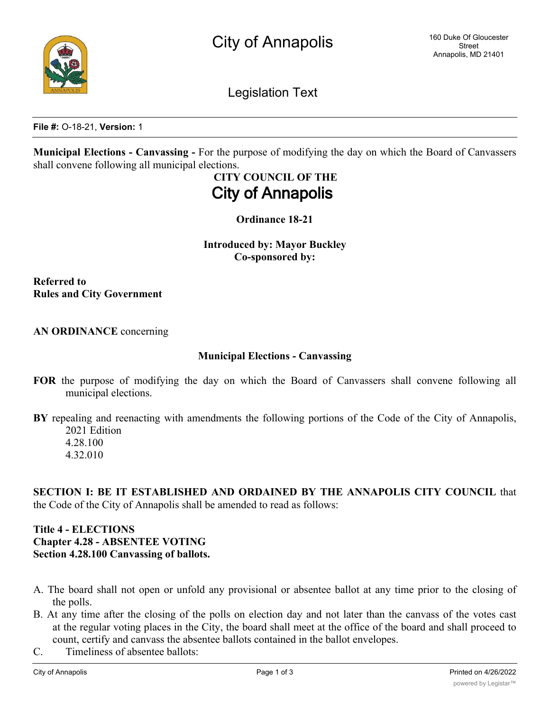Legislation Text

**File #:** O-18-21, **Version:** 1

**Municipal Elections - Canvassing -** For the purpose of modifying the day on which the Board of Canvassers shall convene following all municipal elections.

# **CITY COUNCIL OF THE City of Annapolis**

**Ordinance 18-21**

**Introduced by: Mayor Buckley Co-sponsored by:**

**Referred to Rules and City Government**

## **AN ORDINANCE** concerning

#### **Municipal Elections - Canvassing**

**FOR** the purpose of modifying the day on which the Board of Canvassers shall convene following all municipal elections.

**BY** repealing and reenacting with amendments the following portions of the Code of the City of Annapolis, 2021 Edition 4.28.100

4.32.010

**SECTION I: BE IT ESTABLISHED AND ORDAINED BY THE ANNAPOLIS CITY COUNCIL** that the Code of the City of Annapolis shall be amended to read as follows:

## **Title 4 - ELECTIONS Chapter 4.28 - ABSENTEE VOTING Section 4.28.100 Canvassing of ballots.**

- A. The board shall not open or unfold any provisional or absentee ballot at any time prior to the closing of the polls.
- B. At any time after the closing of the polls on election day and not later than the canvass of the votes cast at the regular voting places in the City, the board shall meet at the office of the board and shall proceed to count, certify and canvass the absentee ballots contained in the ballot envelopes.
- C. Timeliness of absentee ballots: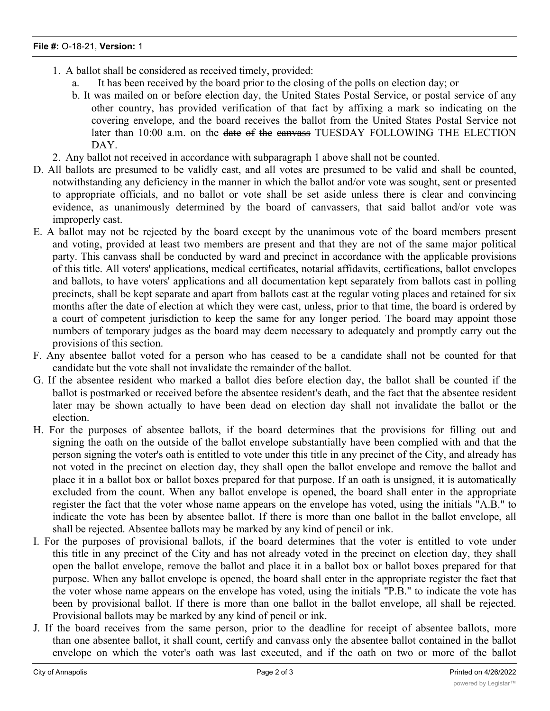- 1. A ballot shall be considered as received timely, provided:
	- a. It has been received by the board prior to the closing of the polls on election day; or
	- b. It was mailed on or before election day, the United States Postal Service, or postal service of any other country, has provided verification of that fact by affixing a mark so indicating on the covering envelope, and the board receives the ballot from the United States Postal Service not later than 10:00 a.m. on the date of the canvass TUESDAY FOLLOWING THE ELECTION DAY.
- 2. Any ballot not received in accordance with subparagraph 1 above shall not be counted.
- D. All ballots are presumed to be validly cast, and all votes are presumed to be valid and shall be counted, notwithstanding any deficiency in the manner in which the ballot and/or vote was sought, sent or presented to appropriate officials, and no ballot or vote shall be set aside unless there is clear and convincing evidence, as unanimously determined by the board of canvassers, that said ballot and/or vote was improperly cast.
- E. A ballot may not be rejected by the board except by the unanimous vote of the board members present and voting, provided at least two members are present and that they are not of the same major political party. This canvass shall be conducted by ward and precinct in accordance with the applicable provisions of this title. All voters' applications, medical certificates, notarial affidavits, certifications, ballot envelopes and ballots, to have voters' applications and all documentation kept separately from ballots cast in polling precincts, shall be kept separate and apart from ballots cast at the regular voting places and retained for six months after the date of election at which they were cast, unless, prior to that time, the board is ordered by a court of competent jurisdiction to keep the same for any longer period. The board may appoint those numbers of temporary judges as the board may deem necessary to adequately and promptly carry out the provisions of this section.
- F. Any absentee ballot voted for a person who has ceased to be a candidate shall not be counted for that candidate but the vote shall not invalidate the remainder of the ballot.
- G. If the absentee resident who marked a ballot dies before election day, the ballot shall be counted if the ballot is postmarked or received before the absentee resident's death, and the fact that the absentee resident later may be shown actually to have been dead on election day shall not invalidate the ballot or the election.
- H. For the purposes of absentee ballots, if the board determines that the provisions for filling out and signing the oath on the outside of the ballot envelope substantially have been complied with and that the person signing the voter's oath is entitled to vote under this title in any precinct of the City, and already has not voted in the precinct on election day, they shall open the ballot envelope and remove the ballot and place it in a ballot box or ballot boxes prepared for that purpose. If an oath is unsigned, it is automatically excluded from the count. When any ballot envelope is opened, the board shall enter in the appropriate register the fact that the voter whose name appears on the envelope has voted, using the initials "A.B." to indicate the vote has been by absentee ballot. If there is more than one ballot in the ballot envelope, all shall be rejected. Absentee ballots may be marked by any kind of pencil or ink.
- I. For the purposes of provisional ballots, if the board determines that the voter is entitled to vote under this title in any precinct of the City and has not already voted in the precinct on election day, they shall open the ballot envelope, remove the ballot and place it in a ballot box or ballot boxes prepared for that purpose. When any ballot envelope is opened, the board shall enter in the appropriate register the fact that the voter whose name appears on the envelope has voted, using the initials "P.B." to indicate the vote has been by provisional ballot. If there is more than one ballot in the ballot envelope, all shall be rejected. Provisional ballots may be marked by any kind of pencil or ink.
- J. If the board receives from the same person, prior to the deadline for receipt of absentee ballots, more than one absentee ballot, it shall count, certify and canvass only the absentee ballot contained in the ballot envelope on which the voter's oath was last executed, and if the oath on two or more of the ballot